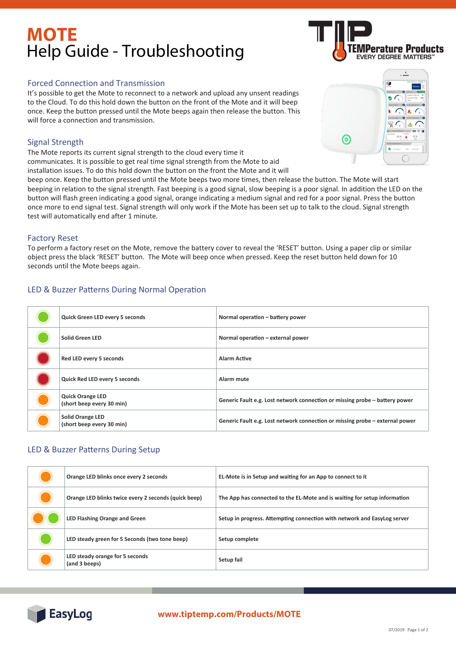# **MOTE** Help Guide - Troubleshooting

### Forced Connection and Transmission

It's possible to get the Mote to reconnect to a network and upload any unsent readings to the Cloud. To do this hold down the button on the front of the Mote and it will beep once. Keep the button pressed until the Mote beeps again then release the button. This will force a connection and transmission.

## Signal Strength

The Mote reports its current signal strength to the cloud every time it communicates. It is possible to get real time signal strength from the Mote to aid installation issues. To do this hold down the button on the front the Mote and it will

beep once. Keep the button pressed until the Mote beeps two more times, then release the button. The Mote will start beeping in relation to the signal strength. Fast beeping is a good signal, slow beeping is a poor signal. In addition the LED on the button will flash green indicating a good signal, orange indicating a medium signal and red for a poor signal. Press the button once more to end signal test. Signal strength will only work if the Mote has been set up to talk to the cloud. Signal strength test will automatically end after 1 minute.

## Factory Reset

To perform a factory reset on the Mote, remove the battery cover to reveal the 'RESET' button. Using a paper clip or similar object press the black 'RESET' button. The Mote will beep once when pressed. Keep the reset button held down for 10 seconds until the Mote beeps again.

# LED & Buzzer Patterns During Normal Operation

| Quick Green LED every 5 seconds                      | Normal operation - battery power                                             |
|------------------------------------------------------|------------------------------------------------------------------------------|
| <b>Solid Green LED</b>                               | Normal operation - external power                                            |
| Red LED every 5 seconds                              | <b>Alarm Active</b>                                                          |
| Quick Red LED every 5 seconds                        | Alarm mute                                                                   |
| <b>Quick Orange LED</b><br>(short beep every 30 min) | Generic Fault e.g. Lost network connection or missing probe – battery power  |
| <b>Solid Orange LED</b><br>(short beep every 30 min) | Generic Fault e.g. Lost network connection or missing probe – external power |

# LED & Buzzer Patterns During Setup

| Orange LED blinks once every 2 seconds               | EL-Mote is in Setup and waiting for an App to connect to it               |
|------------------------------------------------------|---------------------------------------------------------------------------|
| Orange LED blinks twice every 2 seconds (quick beep) | The App has connected to the EL-Mote and is waiting for setup information |
| <b>LED Flashing Orange and Green</b>                 | Setup in progress. Attempting connection with network and EasyLog server  |
| LED steady green for 5 Seconds (two tone beep)       | Setup complete                                                            |
| LED steady orange for 5 seconds<br>(and 3 beeps)     | Setup fail                                                                |



# **www.tiptemp.com/Products/MOTE www.lascarelectronics.com/data-loggers**